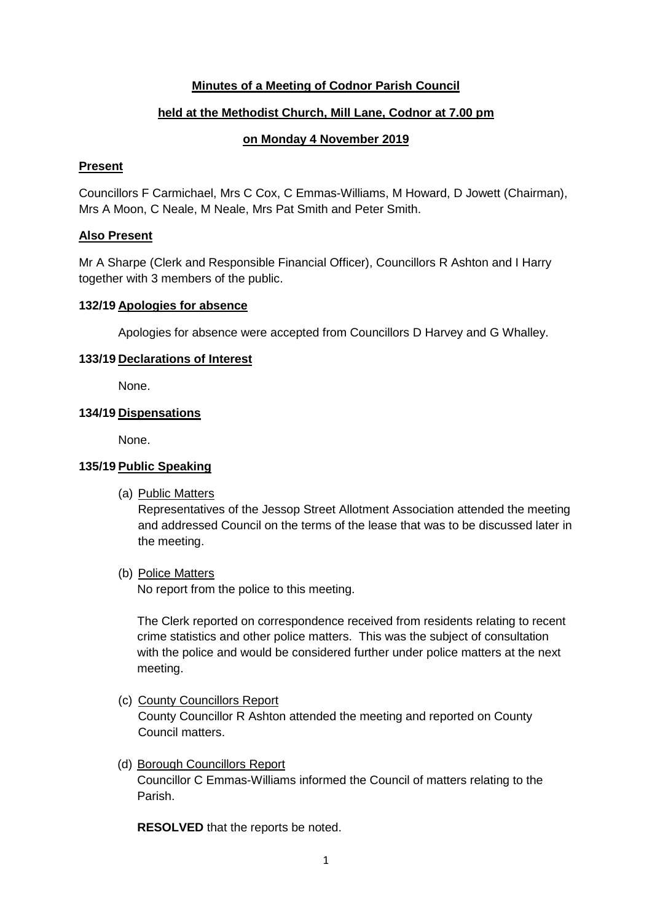## **Minutes of a Meeting of Codnor Parish Council**

## **held at the Methodist Church, Mill Lane, Codnor at 7.00 pm**

## **on Monday 4 November 2019**

#### **Present**

Councillors F Carmichael, Mrs C Cox, C Emmas-Williams, M Howard, D Jowett (Chairman), Mrs A Moon, C Neale, M Neale, Mrs Pat Smith and Peter Smith.

## **Also Present**

Mr A Sharpe (Clerk and Responsible Financial Officer), Councillors R Ashton and I Harry together with 3 members of the public.

#### **132/19 Apologies for absence**

Apologies for absence were accepted from Councillors D Harvey and G Whalley.

## **133/19 Declarations of Interest**

None.

## **134/19 Dispensations**

None.

## **135/19 Public Speaking**

(a) Public Matters

Representatives of the Jessop Street Allotment Association attended the meeting and addressed Council on the terms of the lease that was to be discussed later in the meeting.

(b) Police Matters

No report from the police to this meeting.

The Clerk reported on correspondence received from residents relating to recent crime statistics and other police matters. This was the subject of consultation with the police and would be considered further under police matters at the next meeting.

(c) County Councillors Report

County Councillor R Ashton attended the meeting and reported on County Council matters.

(d) Borough Councillors Report Councillor C Emmas-Williams informed the Council of matters relating to the Parish.

**RESOLVED** that the reports be noted.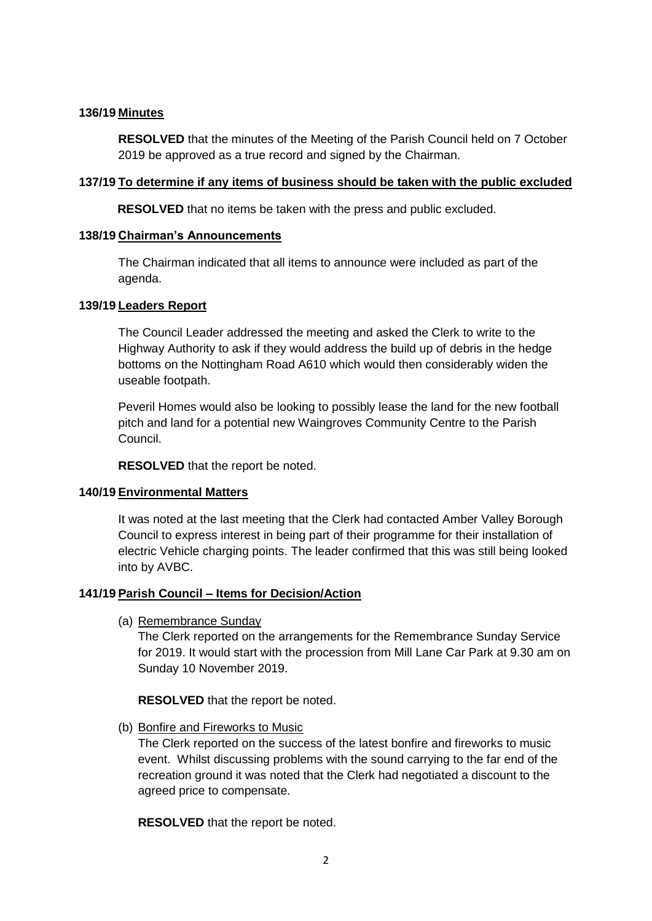## **136/19 Minutes**

**RESOLVED** that the minutes of the Meeting of the Parish Council held on 7 October 2019 be approved as a true record and signed by the Chairman.

## **137/19 To determine if any items of business should be taken with the public excluded**

**RESOLVED** that no items be taken with the press and public excluded.

## **138/19 Chairman's Announcements**

The Chairman indicated that all items to announce were included as part of the agenda.

## **139/19 Leaders Report**

The Council Leader addressed the meeting and asked the Clerk to write to the Highway Authority to ask if they would address the build up of debris in the hedge bottoms on the Nottingham Road A610 which would then considerably widen the useable footpath.

Peveril Homes would also be looking to possibly lease the land for the new football pitch and land for a potential new Waingroves Community Centre to the Parish Council.

**RESOLVED** that the report be noted.

## **140/19 Environmental Matters**

It was noted at the last meeting that the Clerk had contacted Amber Valley Borough Council to express interest in being part of their programme for their installation of electric Vehicle charging points. The leader confirmed that this was still being looked into by AVBC.

## **141/19 Parish Council – Items for Decision/Action**

(a) Remembrance Sunday

The Clerk reported on the arrangements for the Remembrance Sunday Service for 2019. It would start with the procession from Mill Lane Car Park at 9.30 am on Sunday 10 November 2019.

**RESOLVED** that the report be noted.

(b) Bonfire and Fireworks to Music

The Clerk reported on the success of the latest bonfire and fireworks to music event. Whilst discussing problems with the sound carrying to the far end of the recreation ground it was noted that the Clerk had negotiated a discount to the agreed price to compensate.

**RESOLVED** that the report be noted.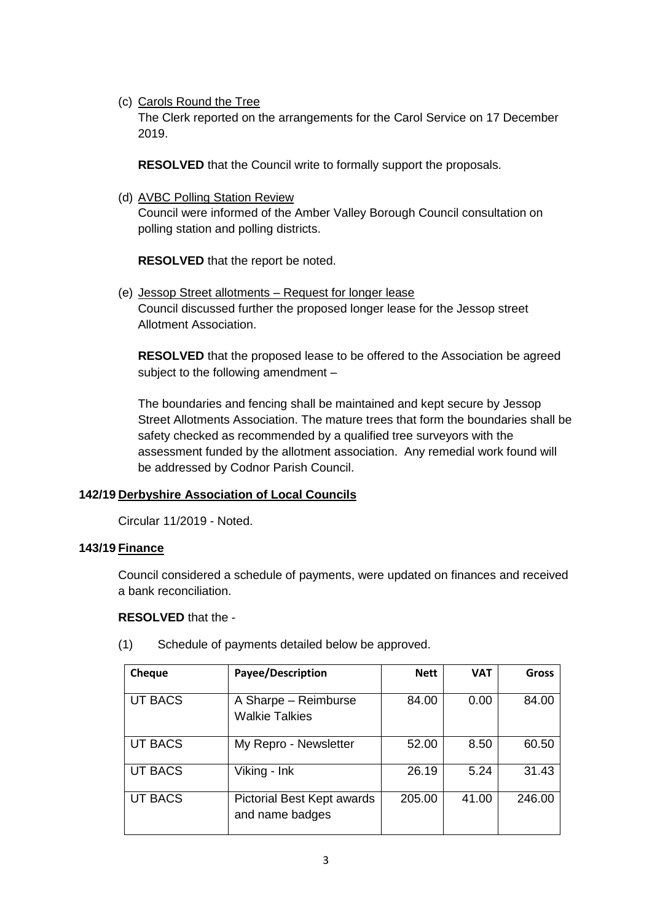(c) Carols Round the Tree

The Clerk reported on the arrangements for the Carol Service on 17 December 2019.

**RESOLVED** that the Council write to formally support the proposals.

(d) AVBC Polling Station Review

Council were informed of the Amber Valley Borough Council consultation on polling station and polling districts.

**RESOLVED** that the report be noted.

(e) Jessop Street allotments – Request for longer lease Council discussed further the proposed longer lease for the Jessop street Allotment Association.

**RESOLVED** that the proposed lease to be offered to the Association be agreed subject to the following amendment –

The boundaries and fencing shall be maintained and kept secure by Jessop Street Allotments Association. The mature trees that form the boundaries shall be safety checked as recommended by a qualified tree surveyors with the assessment funded by the allotment association. Any remedial work found will be addressed by Codnor Parish Council.

## **142/19 Derbyshire Association of Local Councils**

Circular 11/2019 - Noted.

## **143/19 Finance**

Council considered a schedule of payments, were updated on finances and received a bank reconciliation.

#### **RESOLVED** that the -

| Cheque         | Payee/Description                             | <b>Nett</b> | <b>VAT</b> | <b>Gross</b> |
|----------------|-----------------------------------------------|-------------|------------|--------------|
| <b>UT BACS</b> | A Sharpe - Reimburse<br><b>Walkie Talkies</b> | 84.00       | 0.00       | 84.00        |
| <b>UT BACS</b> | My Repro - Newsletter                         | 52.00       | 8.50       | 60.50        |
| <b>UT BACS</b> | Viking - Ink                                  | 26.19       | 5.24       | 31.43        |
| <b>UT BACS</b> | Pictorial Best Kept awards<br>and name badges | 205.00      | 41.00      | 246.00       |

(1) Schedule of payments detailed below be approved.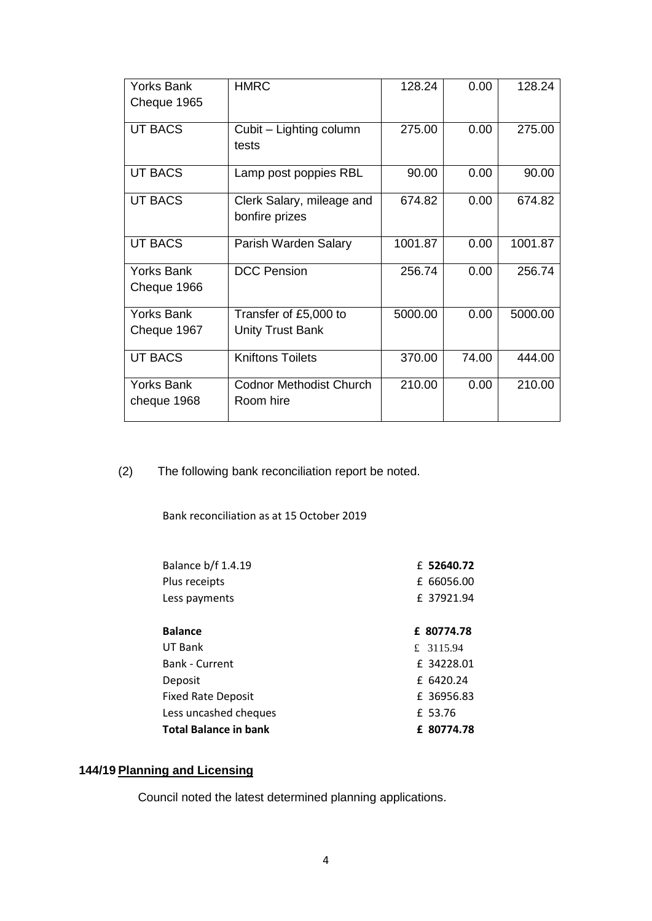| <b>Yorks Bank</b> | <b>HMRC</b>                    | 128.24  | 0.00  | 128.24  |
|-------------------|--------------------------------|---------|-------|---------|
| Cheque 1965       |                                |         |       |         |
| <b>UT BACS</b>    | Cubit - Lighting column        | 275.00  | 0.00  | 275.00  |
|                   | tests                          |         |       |         |
| <b>UT BACS</b>    | Lamp post poppies RBL          | 90.00   | 0.00  | 90.00   |
| <b>UT BACS</b>    | Clerk Salary, mileage and      | 674.82  | 0.00  | 674.82  |
|                   | bonfire prizes                 |         |       |         |
| <b>UT BACS</b>    | Parish Warden Salary           | 1001.87 | 0.00  | 1001.87 |
| <b>Yorks Bank</b> | <b>DCC Pension</b>             | 256.74  | 0.00  | 256.74  |
| Cheque 1966       |                                |         |       |         |
| <b>Yorks Bank</b> | Transfer of £5,000 to          | 5000.00 | 0.00  | 5000.00 |
| Cheque 1967       | <b>Unity Trust Bank</b>        |         |       |         |
| <b>UT BACS</b>    | <b>Kniftons Toilets</b>        | 370.00  | 74.00 | 444.00  |
| <b>Yorks Bank</b> | <b>Codnor Methodist Church</b> | 210.00  | 0.00  | 210.00  |
| cheque 1968       | Room hire                      |         |       |         |
|                   |                                |         |       |         |

(2) The following bank reconciliation report be noted.

Bank reconciliation as at 15 October 2019

| Balance b/f 1.4.19        | £ 52640.72 |
|---------------------------|------------|
| Plus receipts             | £ 66056.00 |
| Less payments             | £ 37921.94 |
| <b>Balance</b>            | £ 80774.78 |
| UT Bank                   | £ 3115.94  |
| <b>Bank - Current</b>     | £ 34228.01 |
| Deposit                   | £ 6420.24  |
| <b>Fixed Rate Deposit</b> | £ 36956.83 |
| Less uncashed cheques     | £ 53.76    |
| Total Balance in bank     | £ 80774.78 |

# **144/19 Planning and Licensing**

Council noted the latest determined planning applications.